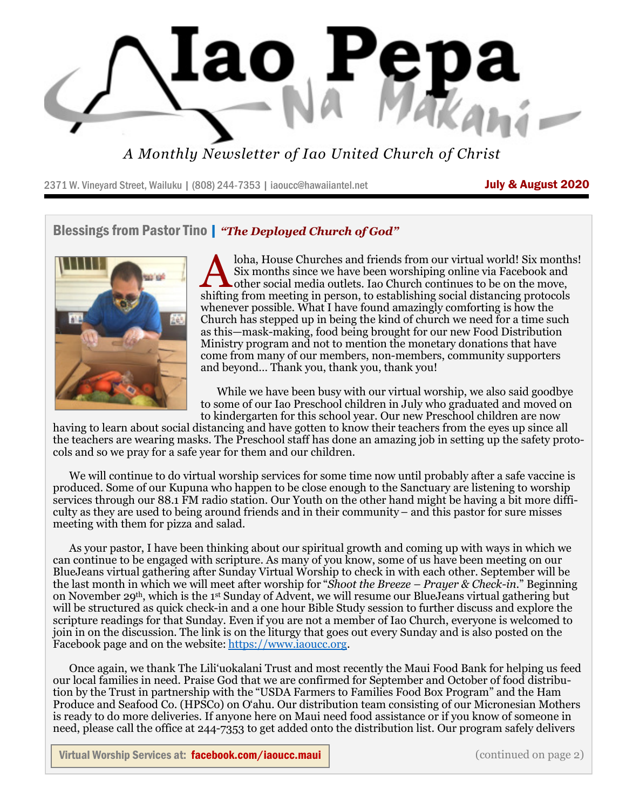

*A Monthly Newsletter of Iao United Church of Christ*

2371 W. Vineyard Street, Wailuku | (808) 244-7353 | iaoucc@hawaiiantel.net **July & August 2020** 

#### Blessings from Pastor Tino | *"The Deployed Church of God"*



loha, House Churches and friends from our virtual world! Six month Six months since we have been worshiping online via Facebook and other social media outlets. Iao Church continues to be on the move, shifting from meeting loha, House Churches and friends from our virtual world! Six months! Six months since we have been worshiping online via Facebook and other social media outlets. Iao Church continues to be on the move, whenever possible. What I have found amazingly comforting is how the Church has stepped up in being the kind of church we need for a time such as this—mask-making, food being brought for our new Food Distribution Ministry program and not to mention the monetary donations that have come from many of our members, non-members, community supporters and beyond… Thank you, thank you, thank you!

 While we have been busy with our virtual worship, we also said goodbye to some of our Iao Preschool children in July who graduated and moved on to kindergarten for this school year. Our new Preschool children are now

having to learn about social distancing and have gotten to know their teachers from the eyes up since all the teachers are wearing masks. The Preschool staff has done an amazing job in setting up the safety protocols and so we pray for a safe year for them and our children.

 We will continue to do virtual worship services for some time now until probably after a safe vaccine is produced. Some of our Kupuna who happen to be close enough to the Sanctuary are listening to worship services through our 88.1 FM radio station. Our Youth on the other hand might be having a bit more difficulty as they are used to being around friends and in their community – and this pastor for sure misses meeting with them for pizza and salad.

 As your pastor, I have been thinking about our spiritual growth and coming up with ways in which we can continue to be engaged with scripture. As many of you know, some of us have been meeting on our BlueJeans virtual gathering after Sunday Virtual Worship to check in with each other. September will be the last month in which we will meet after worship for "*Shoot the Breeze – Prayer & Check-in*." Beginning on November 29th, which is the 1st Sunday of Advent, we will resume our BlueJeans virtual gathering but will be structured as quick check-in and a one hour Bible Study session to further discuss and explore the scripture readings for that Sunday. Even if you are not a member of Iao Church, everyone is welcomed to join in on the discussion. The link is on the liturgy that goes out every Sunday and is also posted on the Facebook page and on the website: https://www.iaoucc.org.

 Once again, we thank The Lili'uokalani Trust and most recently the Maui Food Bank for helping us feed our local families in need. Praise God that we are confirmed for September and October of food distribution by the Trust in partnership with the "USDA Farmers to Families Food Box Program" and the Ham Produce and Seafood Co. (HPSCo) on O'ahu. Our distribution team consisting of our Micronesian Mothers is ready to do more deliveries. If anyone here on Maui need food assistance or if you know of someone in need, please call the office at 244-7353 to get added onto the distribution list. Our program safely delivers

Virtual Worship Services at: facebook.com/iaoucc.maui | www.communications.com/integrations.com/integrations.com/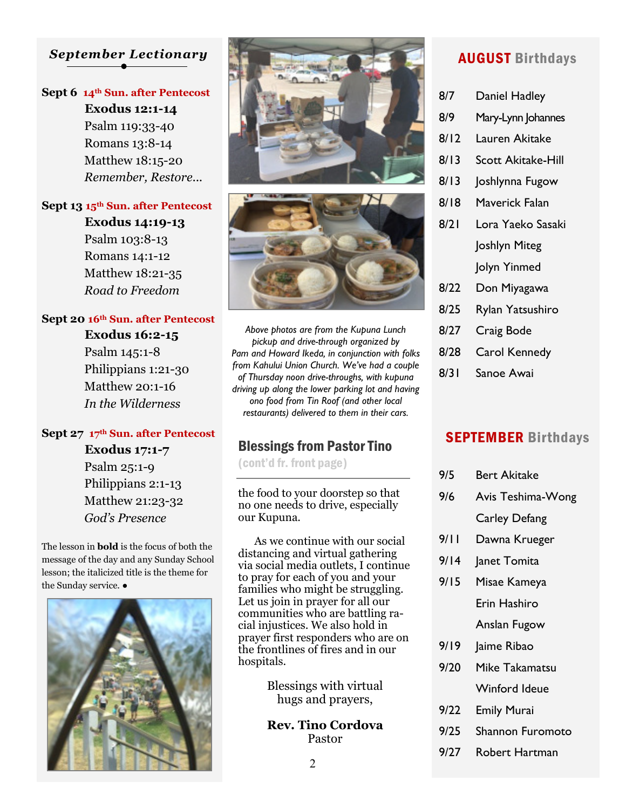# *September Lectionary*

#### **Sept 6 14th Sun. after Pentecost**

 **Exodus 12:1-14** Psalm 119:33-40 Romans 13:8-14 Matthew 18:15-20 *Remember, Restore...*

#### **Sept 13 15th Sun. after Pentecost**

 **Exodus 14:19-13** Psalm 103:8-13 Romans 14:1-12 Matthew 18:21-35 *Road to Freedom*

#### **Sept 20 16th Sun. after Pentecost**

 **Exodus 16:2-15** Psalm 145:1-8 Philippians 1:21-30 Matthew 20:1-16 *In the Wilderness*

#### **Sept 27 17th Sun. after Pentecost**

 **Exodus 17:1-7** Psalm 25:1-9 Philippians 2:1-13 Matthew 21:23-32 *God's Presence*

The lesson in **bold** is the focus of both the message of the day and any Sunday School lesson; the italicized title is the theme for the Sunday service. ●







*Above photos are from the Kupuna Lunch pickup and drive-through organized by Pam and Howard Ikeda, in conjunction with folks from Kahului Union Church. We've had a couple of Thursday noon drive-throughs, with kupuna driving up along the lower parking lot and having ono food from Tin Roof (and other local restaurants) delivered to them in their cars.* 

## Blessings from Pastor Tino

(cont'd fr. front page)

the food to your doorstep so that no one needs to drive, especially our Kupuna.

 As we continue with our social distancing and virtual gathering via social media outlets, I continue to pray for each of you and your families who might be struggling. Let us join in prayer for all our communities who are battling racial injustices. We also hold in prayer first responders who are on the frontlines of fires and in our hospitals.

> Blessings with virtual hugs and prayers,

> **Rev. Tino Cordova** Pastor

# AUGUST Birthdays

- 8/7 Daniel Hadley
- 8/9 Mary-Lynn Johannes
- 8/12 Lauren Akitake
- 8/13 Scott Akitake-Hill
- 8/13 Joshlynna Fugow
- 8/18 Maverick Falan
- 8/21 Lora Yaeko Sasaki Joshlyn Miteg Jolyn Yinmed
- 8/22 Don Miyagawa
- 8/25 Rylan Yatsushiro
- 8/27 Craig Bode
- 8/28 Carol Kennedy
- 8/31 Sanoe Awai

# SEPTEMBER Birthdays

| 9/5  | Bert Akitake         |
|------|----------------------|
| 9/6  | Avis Teshima-Wong    |
|      | <b>Carley Defang</b> |
| 9/11 | Dawna Krueger        |
| 9/14 | Janet Tomita         |
| 9/15 | Misae Kameya         |
|      | Erin Hashiro         |
|      | Anslan Fugow         |
| 9/19 | Jaime Ribao          |
| 9/20 | Mike Takamatsu       |
|      | <b>Winford Ideue</b> |
| 9/22 | <b>Emily Murai</b>   |
|      |                      |
| 9/25 | Shannon Furomoto     |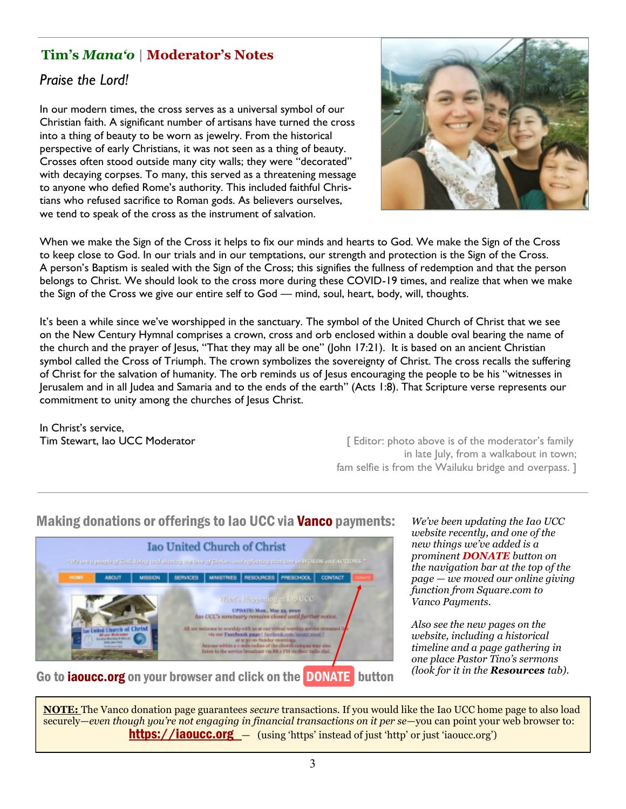# **Tim's** *Mana'o* **| Moderator's Notes**

# *Praise the Lord!*

In our modern times, the cross serves as a universal symbol of our Christian faith. A significant number of artisans have turned the cross into a thing of beauty to be worn as jewelry. From the historical perspective of early Christians, it was not seen as a thing of beauty. Crosses often stood outside many city walls; they were "decorated" with decaying corpses. To many, this served as a threatening message to anyone who defied Rome's authority. This included faithful Christians who refused sacrifice to Roman gods. As believers ourselves, we tend to speak of the cross as the instrument of salvation.



When we make the Sign of the Cross it helps to fix our minds and hearts to God. We make the Sign of the Cross to keep close to God. In our trials and in our temptations, our strength and protection is the Sign of the Cross. A person's Baptism is sealed with the Sign of the Cross; this signifies the fullness of redemption and that the person belongs to Christ. We should look to the cross more during these COVID-19 times, and realize that when we make the Sign of the Cross we give our entire self to God — mind, soul, heart, body, will, thoughts.

It's been a while since we've worshipped in the sanctuary. The symbol of the United Church of Christ that we see on the New Century Hymnal comprises a crown, cross and orb enclosed within a double oval bearing the name of the church and the prayer of Jesus, "That they may all be one" (John 17:21). It is based on an ancient Christian symbol called the Cross of Triumph. The crown symbolizes the sovereignty of Christ. The cross recalls the suffering of Christ for the salvation of humanity. The orb reminds us of Jesus encouraging the people to be his "witnesses in Jerusalem and in all Judea and Samaria and to the ends of the earth" (Acts 1:8). That Scripture verse represents our commitment to unity among the churches of Jesus Christ.

In Christ's service,

**Tim Stewart, Iao UCC Moderator Editor: [** Editor: photo above is of the moderator's family in late July, from a walkabout in town; fam selfie is from the Wailuku bridge and overpass. ]

# Making donations or offerings to Iao UCC via Vanco payments:



*We've been updating the Iao UCC website recently, and one of the new things we've added is a prominent DONATE button on the navigation bar at the top of the page — we moved our online giving function from Square.com to Vanco Payments.*

*Also see the new pages on the website, including a historical timeline and a page gathering in one place Pastor Tino's sermons (look for it in the Resources tab).*

**NOTE:** The Vanco donation page guarantees *secure* transactions. If you would like the Iao UCC home page to also load securely—*even though you're not engaging in financial transactions on it per se*—you can point your web browser to: **https://iaoucc.org** — (using 'https' instead of just 'http' or just 'iaoucc.org')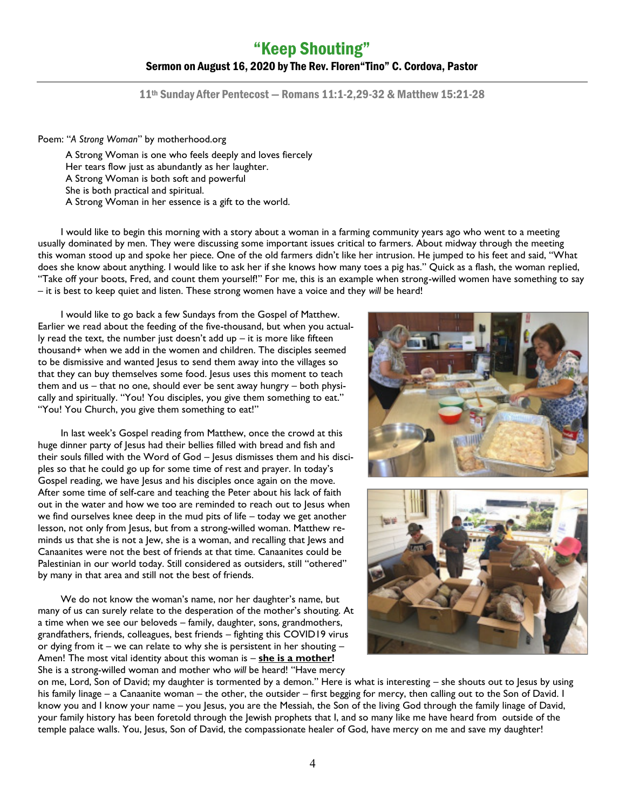# "Keep Shouting" Sermon on August 16, 2020 by The Rev. Floren"Tino" C. Cordova, Pastor

11th Sunday After Pentecost — Romans 11:1-2,29-32 & Matthew 15:21-28

Poem: "*A Strong Woman*" by motherhood.org

A Strong Woman is one who feels deeply and loves fiercely Her tears flow just as abundantly as her laughter. A Strong Woman is both soft and powerful She is both practical and spiritual. A Strong Woman in her essence is a gift to the world.

I would like to begin this morning with a story about a woman in a farming community years ago who went to a meeting usually dominated by men. They were discussing some important issues critical to farmers. About midway through the meeting this woman stood up and spoke her piece. One of the old farmers didn't like her intrusion. He jumped to his feet and said, "What does she know about anything. I would like to ask her if she knows how many toes a pig has." Quick as a flash, the woman replied, "Take off your boots, Fred, and count them yourself!" For me, this is an example when strong-willed women have something to say – it is best to keep quiet and listen. These strong women have a voice and they *will* be heard!

I would like to go back a few Sundays from the Gospel of Matthew. Earlier we read about the feeding of the five-thousand, but when you actually read the text, the number just doesn't add up  $-$  it is more like fifteen thousand+ when we add in the women and children. The disciples seemed to be dismissive and wanted Jesus to send them away into the villages so that they can buy themselves some food. Jesus uses this moment to teach them and us – that no one, should ever be sent away hungry – both physically and spiritually. "You! You disciples, you give them something to eat." "You! You Church, you give them something to eat!"

In last week's Gospel reading from Matthew, once the crowd at this huge dinner party of Jesus had their bellies filled with bread and fish and their souls filled with the Word of God – Jesus dismisses them and his disciples so that he could go up for some time of rest and prayer. In today's Gospel reading, we have Jesus and his disciples once again on the move. After some time of self-care and teaching the Peter about his lack of faith out in the water and how we too are reminded to reach out to Jesus when we find ourselves knee deep in the mud pits of life – today we get another lesson, not only from Jesus, but from a strong-willed woman. Matthew reminds us that she is not a Jew, she is a woman, and recalling that Jews and Canaanites were not the best of friends at that time. Canaanites could be Palestinian in our world today. Still considered as outsiders, still "othered" by many in that area and still not the best of friends.

We do not know the woman's name, nor her daughter's name, but many of us can surely relate to the desperation of the mother's shouting. At a time when we see our beloveds – family, daughter, sons, grandmothers, grandfathers, friends, colleagues, best friends – fighting this COVID19 virus or dying from it – we can relate to why she is persistent in her shouting – Amen! The most vital identity about this woman is – **she is a mother!**  She is a strong-willed woman and mother who *will* be heard! "Have mercy





on me, Lord, Son of David; my daughter is tormented by a demon." Here is what is interesting – she shouts out to Jesus by using his family linage – a Canaanite woman – the other, the outsider – first begging for mercy, then calling out to the Son of David. I know you and I know your name – you Jesus, you are the Messiah, the Son of the living God through the family linage of David, your family history has been foretold through the Jewish prophets that I, and so many like me have heard from outside of the temple palace walls. You, Jesus, Son of David, the compassionate healer of God, have mercy on me and save my daughter!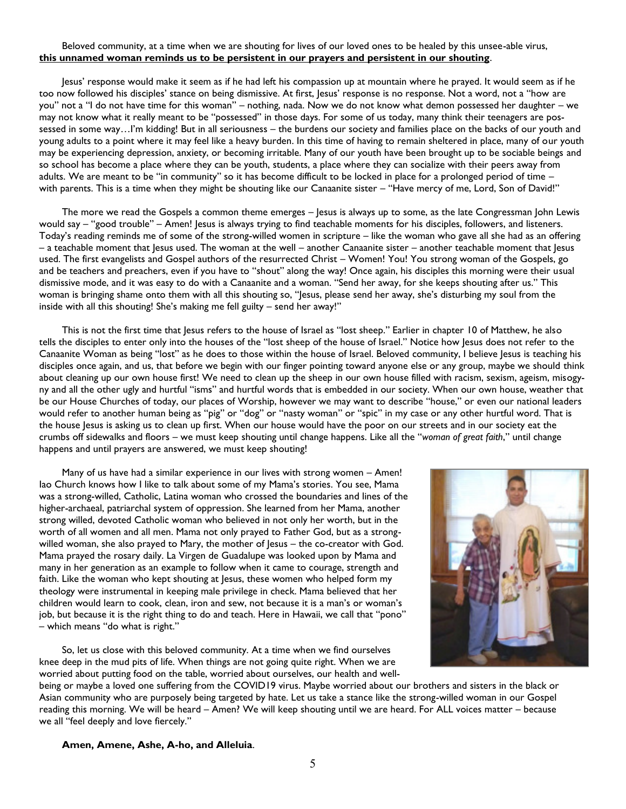#### Beloved community, at a time when we are shouting for lives of our loved ones to be healed by this unsee-able virus, **this unnamed woman reminds us to be persistent in our prayers and persistent in our shouting**.

Jesus' response would make it seem as if he had left his compassion up at mountain where he prayed. It would seem as if he too now followed his disciples' stance on being dismissive. At first, Jesus' response is no response. Not a word, not a "how are you" not a "I do not have time for this woman" – nothing, nada. Now we do not know what demon possessed her daughter – we may not know what it really meant to be "possessed" in those days. For some of us today, many think their teenagers are possessed in some way…I'm kidding! But in all seriousness – the burdens our society and families place on the backs of our youth and young adults to a point where it may feel like a heavy burden. In this time of having to remain sheltered in place, many of our youth may be experiencing depression, anxiety, or becoming irritable. Many of our youth have been brought up to be sociable beings and so school has become a place where they can be youth, students, a place where they can socialize with their peers away from adults. We are meant to be "in community" so it has become difficult to be locked in place for a prolonged period of time – with parents. This is a time when they might be shouting like our Canaanite sister – "Have mercy of me, Lord, Son of David!"

The more we read the Gospels a common theme emerges – Jesus is always up to some, as the late Congressman John Lewis would say – "good trouble" – Amen! Jesus is always trying to find teachable moments for his disciples, followers, and listeners. Today's reading reminds me of some of the strong-willed women in scripture – like the woman who gave all she had as an offering – a teachable moment that Jesus used. The woman at the well – another Canaanite sister – another teachable moment that Jesus used. The first evangelists and Gospel authors of the resurrected Christ – Women! You! You strong woman of the Gospels, go and be teachers and preachers, even if you have to "shout" along the way! Once again, his disciples this morning were their usual dismissive mode, and it was easy to do with a Canaanite and a woman. "Send her away, for she keeps shouting after us." This woman is bringing shame onto them with all this shouting so, "Jesus, please send her away, she's disturbing my soul from the inside with all this shouting! She's making me fell guilty – send her away!"

This is not the first time that Jesus refers to the house of Israel as "lost sheep." Earlier in chapter 10 of Matthew, he also tells the disciples to enter only into the houses of the "lost sheep of the house of Israel." Notice how Jesus does not refer to the Canaanite Woman as being "lost" as he does to those within the house of Israel. Beloved community, I believe Jesus is teaching his disciples once again, and us, that before we begin with our finger pointing toward anyone else or any group, maybe we should think about cleaning up our own house first! We need to clean up the sheep in our own house filled with racism, sexism, ageism, misogyny and all the other ugly and hurtful "isms" and hurtful words that is embedded in our society. When our own house, weather that be our House Churches of today, our places of Worship, however we may want to describe "house," or even our national leaders would refer to another human being as "pig" or "dog" or "nasty woman" or "spic" in my case or any other hurtful word. That is the house Jesus is asking us to clean up first. When our house would have the poor on our streets and in our society eat the crumbs off sidewalks and floors – we must keep shouting until change happens. Like all the "*woman of great faith*," until change happens and until prayers are answered, we must keep shouting!

Many of us have had a similar experience in our lives with strong women – Amen! Iao Church knows how I like to talk about some of my Mama's stories. You see, Mama was a strong-willed, Catholic, Latina woman who crossed the boundaries and lines of the higher-archaeal, patriarchal system of oppression. She learned from her Mama, another strong willed, devoted Catholic woman who believed in not only her worth, but in the worth of all women and all men. Mama not only prayed to Father God, but as a strongwilled woman, she also prayed to Mary, the mother of Jesus – the co-creator with God. Mama prayed the rosary daily. La Virgen de Guadalupe was looked upon by Mama and many in her generation as an example to follow when it came to courage, strength and faith. Like the woman who kept shouting at Jesus, these women who helped form my theology were instrumental in keeping male privilege in check. Mama believed that her children would learn to cook, clean, iron and sew, not because it is a man's or woman's job, but because it is the right thing to do and teach. Here in Hawaii, we call that "pono" – which means "do what is right."

So, let us close with this beloved community. At a time when we find ourselves knee deep in the mud pits of life. When things are not going quite right. When we are worried about putting food on the table, worried about ourselves, our health and well-



being or maybe a loved one suffering from the COVID19 virus. Maybe worried about our brothers and sisters in the black or Asian community who are purposely being targeted by hate. Let us take a stance like the strong-willed woman in our Gospel reading this morning. We will be heard – Amen? We will keep shouting until we are heard. For ALL voices matter – because we all "feel deeply and love fiercely."

#### **Amen, Amene, Ashe, A-ho, and Alleluia**.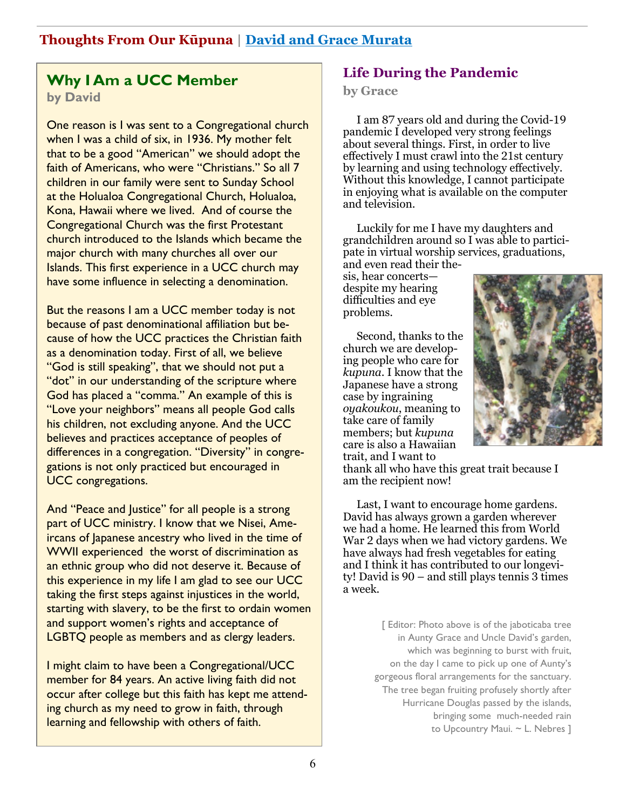# **Why I Am a UCC Member**

**by David** 

One reason is I was sent to a Congregational church when I was a child of six, in 1936. My mother felt that to be a good "American" we should adopt the faith of Americans, who were "Christians." So all 7 children in our family were sent to Sunday School at the Holualoa Congregational Church, Holualoa, Kona, Hawaii where we lived. And of course the Congregational Church was the first Protestant church introduced to the Islands which became the major church with many churches all over our Islands. This first experience in a UCC church may have some influence in selecting a denomination.

But the reasons I am a UCC member today is not because of past denominational affiliation but because of how the UCC practices the Christian faith as a denomination today. First of all, we believe "God is still speaking", that we should not put a "dot" in our understanding of the scripture where God has placed a "comma." An example of this is "Love your neighbors" means all people God calls his children, not excluding anyone. And the UCC believes and practices acceptance of peoples of differences in a congregation. "Diversity" in congregations is not only practiced but encouraged in UCC congregations.

And "Peace and Justice" for all people is a strong part of UCC ministry. I know that we Nisei, Ameircans of Japanese ancestry who lived in the time of WWII experienced the worst of discrimination as an ethnic group who did not deserve it. Because of this experience in my life I am glad to see our UCC taking the first steps against injustices in the world, starting with slavery, to be the first to ordain women and support women's rights and acceptance of LGBTQ people as members and as clergy leaders.

I might claim to have been a Congregational/UCC member for 84 years. An active living faith did not occur after college but this faith has kept me attending church as my need to grow in faith, through learning and fellowship with others of faith.

# **Life During the Pandemic**

#### **by Grace**

I am 87 years old and during the Covid-19 pandemic I developed very strong feelings about several things. First, in order to live effectively I must crawl into the 21st century by learning and using technology effectively. Without this knowledge, I cannot participate in enjoying what is available on the computer and television.

Luckily for me I have my daughters and grandchildren around so I was able to participate in virtual worship services, graduations, and even read their the-

sis, hear concerts despite my hearing difficulties and eye problems.

Second, thanks to the church we are developing people who care for *kupuna*. I know that the Japanese have a strong case by ingraining *oyakoukou*, meaning to take care of family members; but *kupuna* care is also a Hawaiian trait, and I want to



thank all who have this great trait because I am the recipient now!

Last, I want to encourage home gardens. David has always grown a garden wherever we had a home. He learned this from World War 2 days when we had victory gardens. We have always had fresh vegetables for eating and I think it has contributed to our longevity! David is 90 – and still plays tennis 3 times a week.

> [ Editor: Photo above is of the jaboticaba tree in Aunty Grace and Uncle David's garden, which was beginning to burst with fruit, on the day I came to pick up one of Aunty's gorgeous floral arrangements for the sanctuary. The tree began fruiting profusely shortly after Hurricane Douglas passed by the islands, bringing some much-needed rain to Upcountry Maui. ~ L. Nebres ]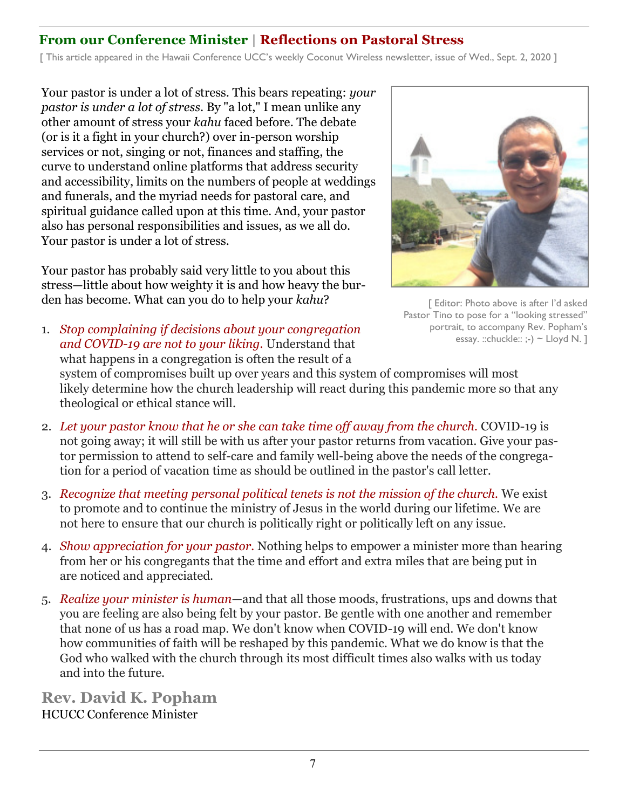# **From our Conference Minister | Reflections on Pastoral Stress**

[ This article appeared in the Hawaii Conference UCC's weekly Coconut Wireless newsletter, issue of Wed., Sept. 2, 2020 ]

Your pastor is under a lot of stress. This bears repeating: *your pastor is under a lot of stress*. By "a lot," I mean unlike any other amount of stress your *kahu* faced before. The debate (or is it a fight in your church?) over in-person worship services or not, singing or not, finances and staffing, the curve to understand online platforms that address security and accessibility, limits on the numbers of people at weddings and funerals, and the myriad needs for pastoral care, and spiritual guidance called upon at this time. And, your pastor also has personal responsibilities and issues, as we all do. Your pastor is under a lot of stress.

Your pastor has probably said very little to you about this stress—little about how weighty it is and how heavy the burden has become. What can you do to help your *kahu*?



[ Editor: Photo above is after I'd asked Pastor Tino to pose for a "looking stressed" portrait, to accompany Rev. Popham's essay. ::chuckle::  $:-$ ) ~ Lloyd N. 1

- 1. *Stop complaining if decisions about your congregation and COVID-19 are not to your liking.* Understand that what happens in a congregation is often the result of a system of compromises built up over years and this system of compromises will most likely determine how the church leadership will react during this pandemic more so that any theological or ethical stance will.
- 2. Let your pastor know that he or she can take time off away from the church. COVID-19 is not going away; it will still be with us after your pastor returns from vacation. Give your pastor permission to attend to self-care and family well-being above the needs of the congregation for a period of vacation time as should be outlined in the pastor's call letter.
- 3. *Recognize that meeting personal political tenets is not the mission of the church.* We exist to promote and to continue the ministry of Jesus in the world during our lifetime. We are not here to ensure that our church is politically right or politically left on any issue.
- 4. *Show appreciation for your pastor.* Nothing helps to empower a minister more than hearing from her or his congregants that the time and effort and extra miles that are being put in are noticed and appreciated.
- 5. *Realize your minister is human*—and that all those moods, frustrations, ups and downs that you are feeling are also being felt by your pastor. Be gentle with one another and remember that none of us has a road map. We don't know when COVID-19 will end. We don't know how communities of faith will be reshaped by this pandemic. What we do know is that the God who walked with the church through its most difficult times also walks with us today and into the future.

**Rev. David K. Popham** HCUCC Conference Minister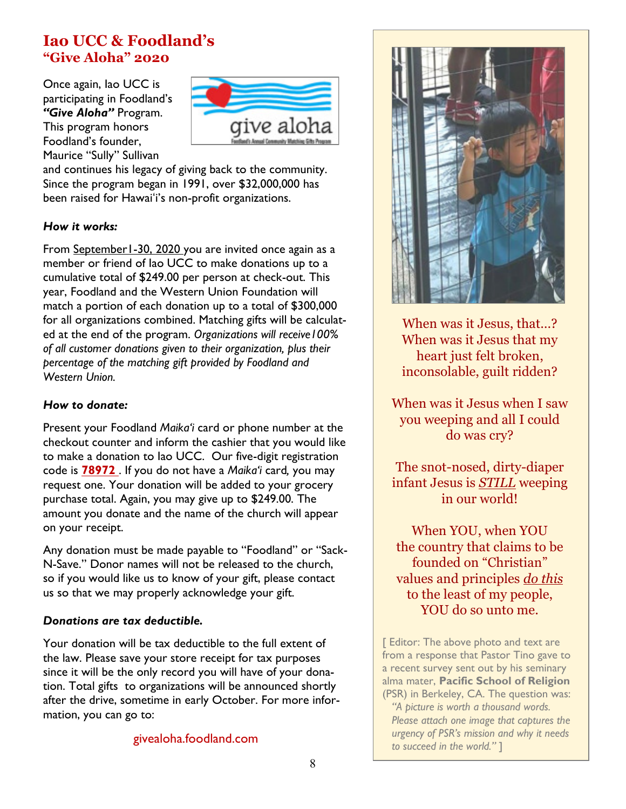# **Iao UCC & Foodland's "Give Aloha" 2020**

Once again, Iao UCC is participating in Foodland's *"Give Aloha"* Program. This program honors Foodland's founder, Maurice "Sully" Sullivan



and continues his legacy of giving back to the community. Since the program began in 1991, over \$32,000,000 has been raised for Hawaiʻi's non-profit organizations.

### *How it works:*

From September1-30, 2020 you are invited once again as a member or friend of Iao UCC to make donations up to a cumulative total of \$249.00 per person at check-out. This year, Foodland and the Western Union Foundation will match a portion of each donation up to a total of \$300,000 for all organizations combined. Matching gifts will be calculated at the end of the program. *Organizations will receive100% of all customer donations given to their organization, plus their percentage of the matching gift provided by Foodland and Western Union.* 

### *How to donate:*

Present your Foodland *Maika'i* card or phone number at the checkout counter and inform the cashier that you would like to make a donation to Iao UCC. Our five-digit registration code is **78972** . If you do not have a *Maika'i* card*,* you may request one. Your donation will be added to your grocery purchase total. Again, you may give up to \$249.00. The amount you donate and the name of the church will appear on your receipt.

Any donation must be made payable to "Foodland" or "Sack-N-Save." Donor names will not be released to the church, so if you would like us to know of your gift, please contact us so that we may properly acknowledge your gift.

## *Donations are tax deductible.*

Your donation will be tax deductible to the full extent of the law. Please save your store receipt for tax purposes since it will be the only record you will have of your donation. Total gifts to organizations will be announced shortly after the drive, sometime in early October. For more information, you can go to:

### givealoha.foodland.com



When was it Jesus, that…? When was it Jesus that my heart just felt broken, inconsolable, guilt ridden?

When was it Jesus when I saw you weeping and all I could do was cry?

The snot-nosed, dirty-diaper infant Jesus is *STILL* weeping in our world!

When YOU, when YOU the country that claims to be founded on "Christian" values and principles *do this* to the least of my people, YOU do so unto me.

[ Editor: The above photo and text are from a response that Pastor Tino gave to a recent survey sent out by his seminary alma mater, **Pacific School of Religion**  (PSR) in Berkeley, CA. The question was:

 *"A picture is worth a thousand words. Please attach one image that captures the urgency of PSR's mission and why it needs to succeed in the world."* ]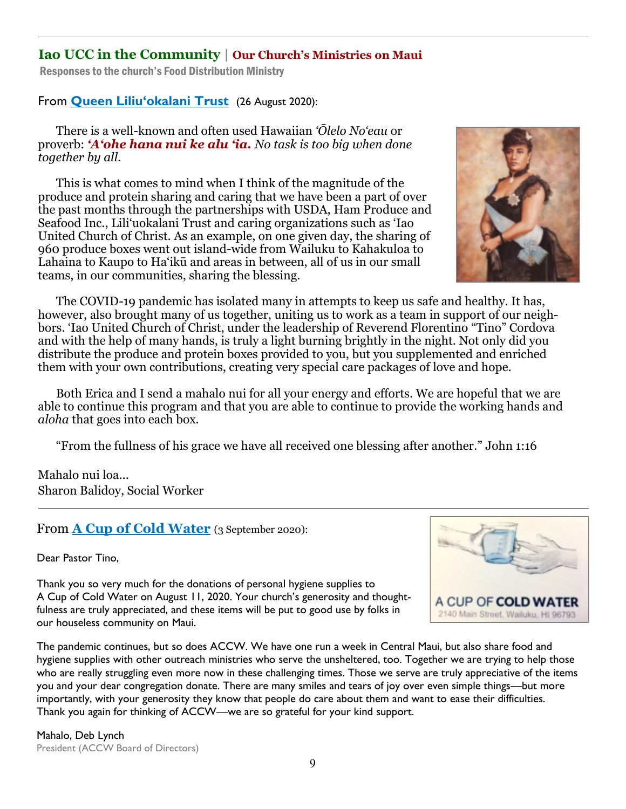# **Iao UCC in the Community | Our Church's Ministries on Maui**

Responses to the church's Food Distribution Ministry

From **Queen Liliu'okalani Trust** (26 August 2020):

There is a well-known and often used Hawaiian *'Ōlelo No'eau* or proverb: *'A'ohe hana nui ke alu 'ia. No task is too big when done together by all.*

This is what comes to mind when I think of the magnitude of the produce and protein sharing and caring that we have been a part of over the past months through the partnerships with USDA, Ham Produce and Seafood Inc., Lili'uokalani Trust and caring organizations such as 'Iao United Church of Christ. As an example, on one given day, the sharing of 960 produce boxes went out island-wide from Wailuku to Kahakuloa to Lahaina to Kaupo to Ha'ikū and areas in between, all of us in our small teams, in our communities, sharing the blessing.



The COVID-19 pandemic has isolated many in attempts to keep us safe and healthy. It has, however, also brought many of us together, uniting us to work as a team in support of our neighbors. 'Iao United Church of Christ, under the leadership of Reverend Florentino "Tino" Cordova and with the help of many hands, is truly a light burning brightly in the night. Not only did you distribute the produce and protein boxes provided to you, but you supplemented and enriched them with your own contributions, creating very special care packages of love and hope.

Both Erica and I send a mahalo nui for all your energy and efforts. We are hopeful that we are able to continue this program and that you are able to continue to provide the working hands and *aloha* that goes into each box.

"From the fullness of his grace we have all received one blessing after another." John 1:16

Mahalo nui loa... Sharon Balidoy, Social Worker

From **A Cup of Cold Water** (3 September 2020):

Dear Pastor Tino,

Thank you so very much for the donations of personal hygiene supplies to A Cup of Cold Water on August 11, 2020. Your church's generosity and thought-



fulness are truly appreciated, and these items will be put to good use by folks in our houseless community on Maui.

The pandemic continues, but so does ACCW. We have one run a week in Central Maui, but also share food and hygiene supplies with other outreach ministries who serve the unsheltered, too. Together we are trying to help those who are really struggling even more now in these challenging times. Those we serve are truly appreciative of the items you and your dear congregation donate. There are many smiles and tears of joy over even simple things—but more importantly, with your generosity they know that people do care about them and want to ease their difficulties. Thank you again for thinking of ACCW—we are so grateful for your kind support.

Mahalo, Deb Lynch President (ACCW Board of Directors)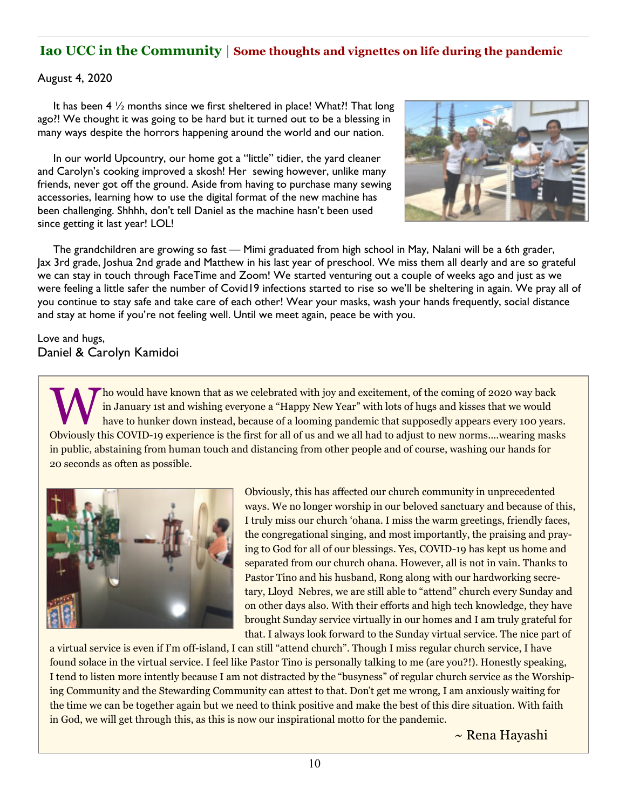# **Iao UCC in the Community | Some thoughts and vignettes on life during the pandemic**

#### August 4, 2020

 It has been 4 ½ months since we first sheltered in place! What?! That long ago?! We thought it was going to be hard but it turned out to be a blessing in many ways despite the horrors happening around the world and our nation.

 In our world Upcountry, our home got a "little" tidier, the yard cleaner and Carolyn's cooking improved a skosh! Her sewing however, unlike many friends, never got off the ground. Aside from having to purchase many sewing accessories, Iearning how to use the digital format of the new machine has been challenging. Shhhh, don't tell Daniel as the machine hasn't been used since getting it last year! LOL!



 The grandchildren are growing so fast — Mimi graduated from high school in May, Nalani will be a 6th grader, Jax 3rd grade, Joshua 2nd grade and Matthew in his last year of preschool. We miss them all dearly and are so grateful we can stay in touch through FaceTime and Zoom! We started venturing out a couple of weeks ago and just as we were feeling a little safer the number of Covid19 infections started to rise so we'll be sheltering in again. We pray all of you continue to stay safe and take care of each other! Wear your masks, wash your hands frequently, social distance and stay at home if you're not feeling well. Until we meet again, peace be with you.

Love and hugs, Daniel & Carolyn Kamidoi

Tho would have known that as we celebrated with joy and excitement, of the coming of 2020 way back<br>in January 1st and wishing everyone a "Happy New Year" with lots of hugs and kisses that we would<br>have to hunker down inste ho would have known that as we celebrated with joy and excitement, of the coming of 2020 way back in January 1st and wishing everyone a "Happy New Year" with lots of hugs and kisses that we would have to hunker down instead, because of a looming pandemic that supposedly appears every 100 years. in public, abstaining from human touch and distancing from other people and of course, washing our hands for 20 seconds as often as possible.



Obviously, this has affected our church community in unprecedented ways. We no longer worship in our beloved sanctuary and because of this, I truly miss our church 'ohana. I miss the warm greetings, friendly faces, the congregational singing, and most importantly, the praising and praying to God for all of our blessings. Yes, COVID-19 has kept us home and separated from our church ohana. However, all is not in vain. Thanks to Pastor Tino and his husband, Rong along with our hardworking secretary, Lloyd Nebres, we are still able to "attend" church every Sunday and on other days also. With their efforts and high tech knowledge, they have brought Sunday service virtually in our homes and I am truly grateful for that. I always look forward to the Sunday virtual service. The nice part of

a virtual service is even if I'm off-island, I can still "attend church". Though I miss regular church service, I have found solace in the virtual service. I feel like Pastor Tino is personally talking to me (are you?!). Honestly speaking, I tend to listen more intently because I am not distracted by the "busyness" of regular church service as the Worshiping Community and the Stewarding Community can attest to that. Don't get me wrong, I am anxiously waiting for the time we can be together again but we need to think positive and make the best of this dire situation. With faith in God, we will get through this, as this is now our inspirational motto for the pandemic.

~ Rena Hayashi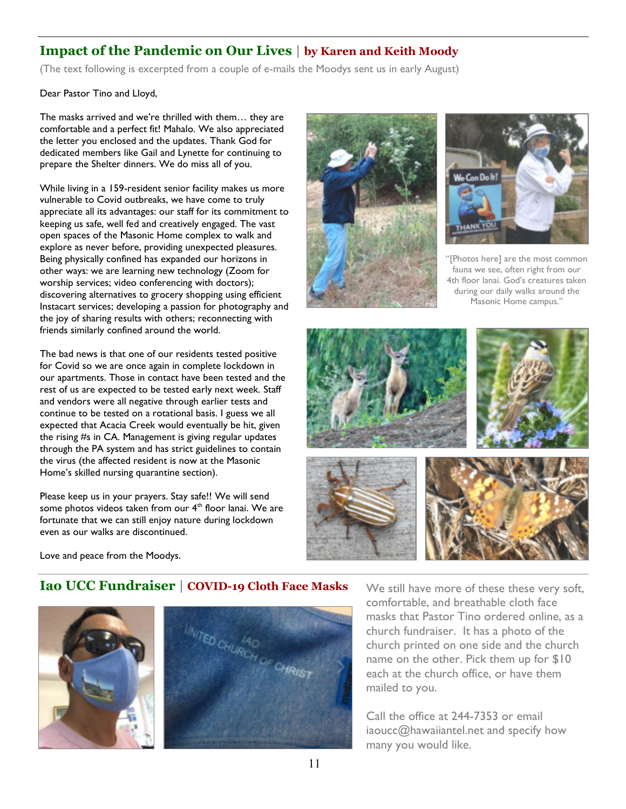# **Impact of the Pandemic on Our Lives | by Karen and Keith Moody**

(The text following is excerpted from a couple of e-mails the Moodys sent us in early August)

Dear Pastor Tino and Lloyd,

The masks arrived and we're thrilled with them… they are comfortable and a perfect fit! Mahalo. We also appreciated the letter you enclosed and the updates. Thank God for dedicated members like Gail and Lynette for continuing to prepare the Shelter dinners. We do miss all of you.

While living in a 159-resident senior facility makes us more vulnerable to Covid outbreaks, we have come to truly appreciate all its advantages: our staff for its commitment to keeping us safe, well fed and creatively engaged. The vast open spaces of the Masonic Home complex to walk and explore as never before, providing unexpected pleasures. Being physically confined has expanded our horizons in other ways: we are learning new technology (Zoom for worship services; video conferencing with doctors); discovering alternatives to grocery shopping using efficient Instacart services; developing a passion for photography and the joy of sharing results with others; reconnecting with friends similarly confined around the world.

The bad news is that one of our residents tested positive for Covid so we are once again in complete lockdown in our apartments. Those in contact have been tested and the rest of us are expected to be tested early next week. Staff and vendors were all negative through earlier tests and continue to be tested on a rotational basis. I guess we all expected that Acacia Creek would eventually be hit, given the rising #s in CA. Management is giving regular updates through the PA system and has strict guidelines to contain the virus (the affected resident is now at the Masonic Home's skilled nursing quarantine section).

Please keep us in your prayers. Stay safe!! We will send some photos videos taken from our 4<sup>th</sup> floor lanai. We are fortunate that we can still enjoy nature during lockdown even as our walks are discontinued.





[Photos here] are the most common fauna we see, often right from our 4th floor lanai. God's creatures taken during our daily walks around the Masonic Home campus."



Love and peace from the Moodys.

## **Iao UCC Fundraiser | COVID-19 Cloth Face Masks** We still have more of these these very soft,





comfortable, and breathable cloth face masks that Pastor Tino ordered online, as a church fundraiser. It has a photo of the church printed on one side and the church name on the other. Pick them up for \$10 each at the church office, or have them mailed to you.

Call the office at 244-7353 or email iaoucc@hawaiiantel.net and specify how many you would like.